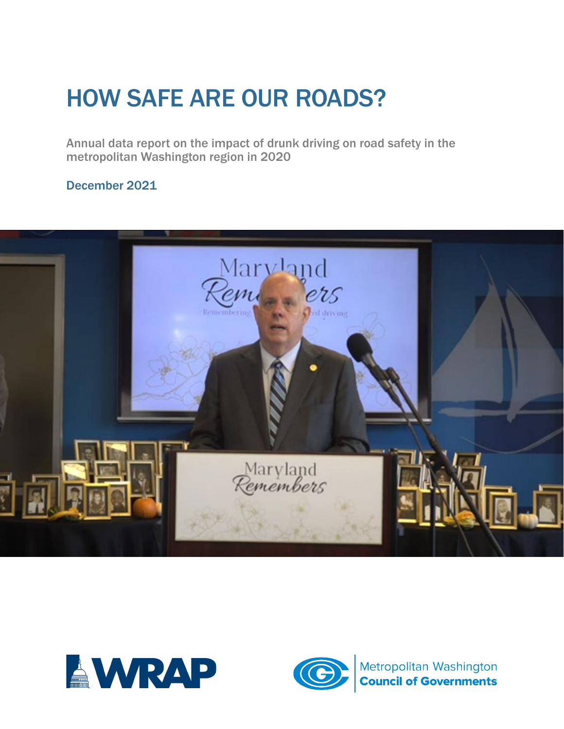# HOW SAFE ARE OUR ROADS?

Annual data report on the impact of drunk driving on road safety in the metropolitan Washington region in 2020

December 2021





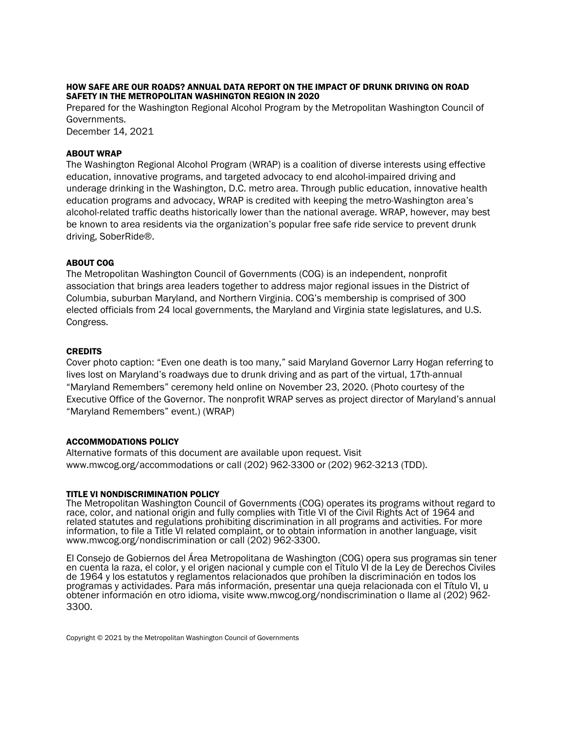#### HOW SAFE ARE OUR ROADS? ANNUAL DATA REPORT ON THE IMPACT OF DRUNK DRIVING ON ROAD SAFETY IN THE METROPOLITAN WASHINGTON REGION IN 2020

Prepared for the Washington Regional Alcohol Program by the Metropolitan Washington Council of Governments.

December 14, 2021

#### ABOUT WRAP

The Washington Regional Alcohol Program (WRAP) is a coalition of diverse interests using effective education, innovative programs, and targeted advocacy to end alcohol-impaired driving and underage drinking in the Washington, D.C. metro area. Through public education, innovative health education programs and advocacy, WRAP is credited with keeping the metro-Washington area's alcohol-related traffic deaths historically lower than the national average. WRAP, however, may best be known to area residents via the organization's popular free safe ride service to prevent drunk driving, SoberRide®.

#### ABOUT COG

The Metropolitan Washington Council of Governments (COG) is an independent, nonprofit association that brings area leaders together to address major regional issues in the District of Columbia, suburban Maryland, and Northern Virginia. COG's membership is comprised of 300 elected officials from 24 local governments, the Maryland and Virginia state legislatures, and U.S. Congress.

#### CREDITS

Cover photo caption: "Even one death is too many," said Maryland Governor Larry Hogan referring to lives lost on Maryland's roadways due to drunk driving and as part of the virtual, 17th-annual "Maryland Remembers" ceremony held online on November 23, 2020. (Photo courtesy of the Executive Office of the Governor. The nonprofit WRAP serves as project director of Maryland's annual "Maryland Remembers" event.) (WRAP)

#### ACCOMMODATIONS POLICY

Alternative formats of this document are available upon request. Visit [www.mwcog.org/accommodations](http://www.mwcog.org/accommodations) or call (202) 962-3300 or (202) 962-3213 (TDD).

#### TITLE VI NONDISCRIMINATION POLICY

The Metropolitan Washington Council of Governments (COG) operates its programs without regard to race, color, and national origin and fully complies with Title VI of the Civil Rights Act of 1964 and related statutes and regulations prohibiting discrimination in all programs and activities. For more information, to file a Title VI related complaint, or to obtain information in another language, visit www.mwcog.org/nondiscrimination or call (202) 962-3300.

El Consejo de Gobiernos del Área Metropolitana de Washington (COG) opera sus programas sin tener en cuenta la raza, el color, y el origen nacional y cumple con el Título VI de la Ley de Derechos Civiles de 1964 y los estatutos y reglamentos relacionados que prohíben la discriminación en todos los programas y actividades. Para más información, presentar una queja relacionada con el Título VI, u obtener información en otro idioma, visite www.mwcog.org/nondiscrimination o llame al (202) 962- 3300.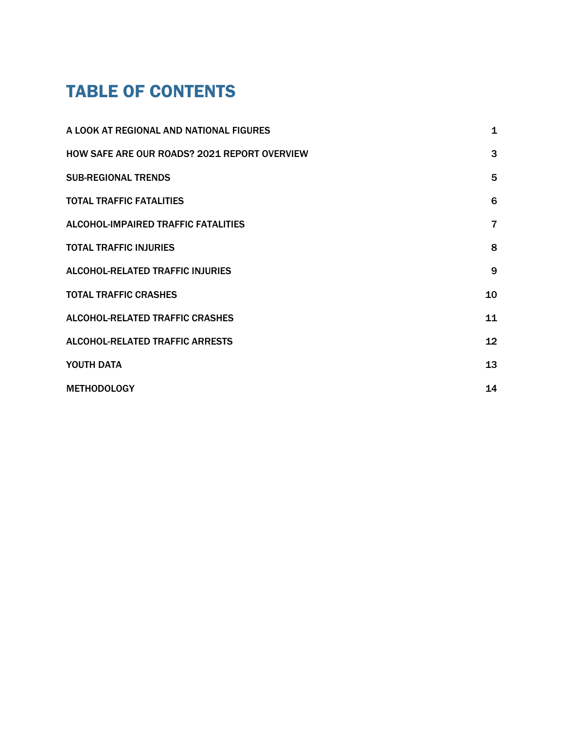### TABLE OF CONTENTS

| A LOOK AT REGIONAL AND NATIONAL FIGURES             | $\mathbf 1$    |
|-----------------------------------------------------|----------------|
| <b>HOW SAFE ARE OUR ROADS? 2021 REPORT OVERVIEW</b> | 3              |
| <b>SUB-REGIONAL TRENDS</b>                          | 5              |
| <b>TOTAL TRAFFIC FATALITIES</b>                     | 6              |
| <b>ALCOHOL-IMPAIRED TRAFFIC FATALITIES</b>          | $\overline{7}$ |
| <b>TOTAL TRAFFIC INJURIES</b>                       | 8              |
| <b>ALCOHOL-RELATED TRAFFIC INJURIES</b>             | 9              |
| <b>TOTAL TRAFFIC CRASHES</b>                        | 10             |
| <b>ALCOHOL-RELATED TRAFFIC CRASHES</b>              | 11             |
| <b>ALCOHOL-RELATED TRAFFIC ARRESTS</b>              | 12             |
| YOUTH DATA                                          | 13             |
| <b>METHODOLOGY</b>                                  | 14             |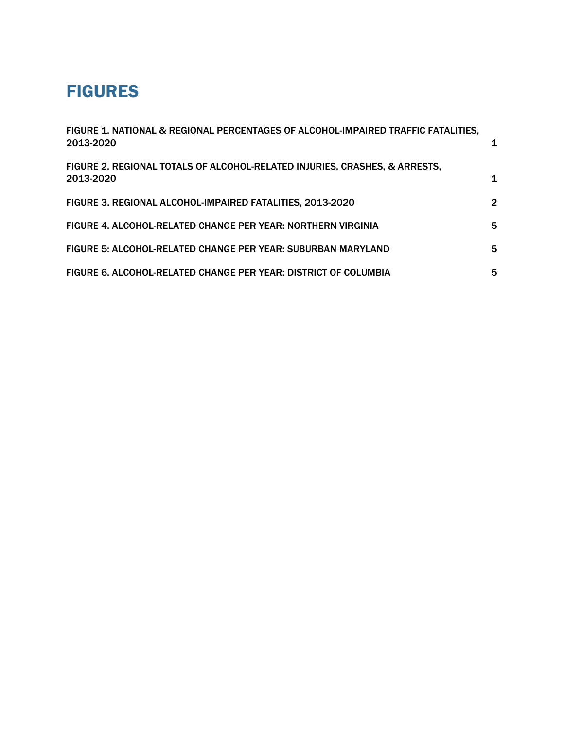### FIGURES

| FIGURE 1. NATIONAL & REGIONAL PERCENTAGES OF ALCOHOL-IMPAIRED TRAFFIC FATALITIES,<br>2013-2020 | 1              |
|------------------------------------------------------------------------------------------------|----------------|
| FIGURE 2. REGIONAL TOTALS OF ALCOHOL-RELATED INJURIES, CRASHES, & ARRESTS,<br>2013-2020        | 1              |
| FIGURE 3. REGIONAL ALCOHOL-IMPAIRED FATALITIES, 2013-2020                                      | $\overline{2}$ |
| FIGURE 4. ALCOHOL-RELATED CHANGE PER YEAR: NORTHERN VIRGINIA                                   | 5              |
| FIGURE 5: ALCOHOL-RELATED CHANGE PER YEAR: SUBURBAN MARYLAND                                   | 5              |
| FIGURE 6. ALCOHOL-RELATED CHANGE PER YEAR: DISTRICT OF COLUMBIA                                | 5              |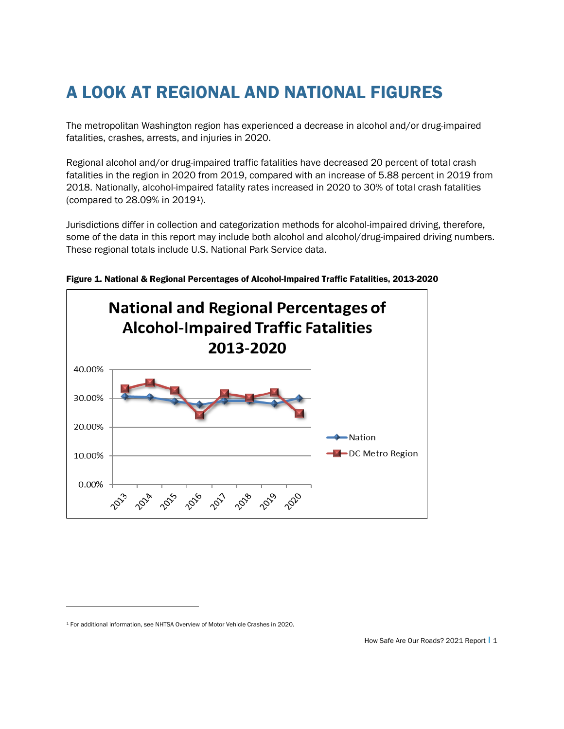## A LOOK AT REGIONAL AND NATIONAL FIGURES

The metropolitan Washington region has experienced a decrease in alcohol and/or drug-impaired fatalities, crashes, arrests, and injuries in 2020.

Regional alcohol and/or drug-impaired traffic fatalities have decreased 20 percent of total crash fatalities in the region in 2020 from 2019, compared with an increase of 5.88 percent in 2019 from 2018. Nationally, alcohol-impaired fatality rates increased in 2020 to 30% of total crash fatalities (compared to 28.09% in 2019[1](#page-4-0)).

Jurisdictions differ in collection and categorization methods for alcohol-impaired driving, therefore, some of the data in this report may include both alcohol and alcohol/drug-impaired driving numbers. These regional totals include U.S. National Park Service data.



Figure 1. National & Regional Percentages of Alcohol-Impaired Traffic Fatalities, 2013-2020

<span id="page-4-0"></span><sup>1</sup> For additional information, se[e NHTSA Overview of Motor Vehicle Crashes in 2020.](https://crashstats.nhtsa.dot.gov/Api/Public/ViewPublication/813266)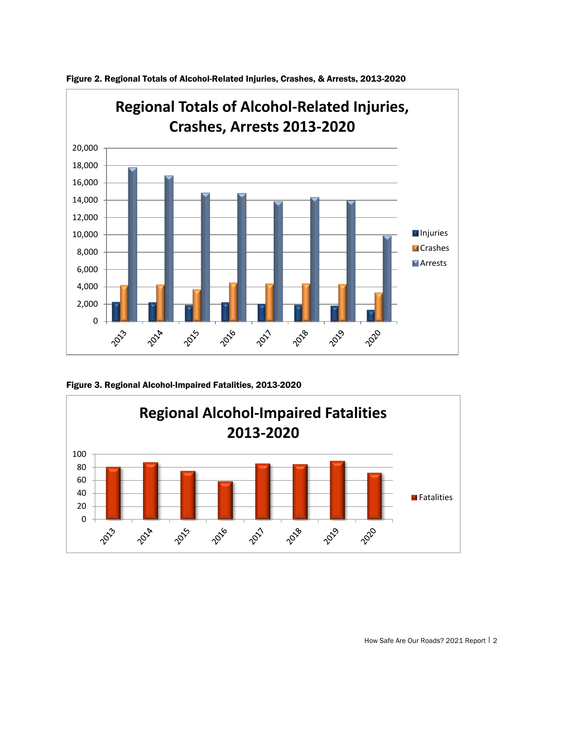

Figure 2. Regional Totals of Alcohol-Related Injuries, Crashes, & Arrests, 2013-2020

Figure 3. Regional Alcohol-Impaired Fatalities, 2013-2020

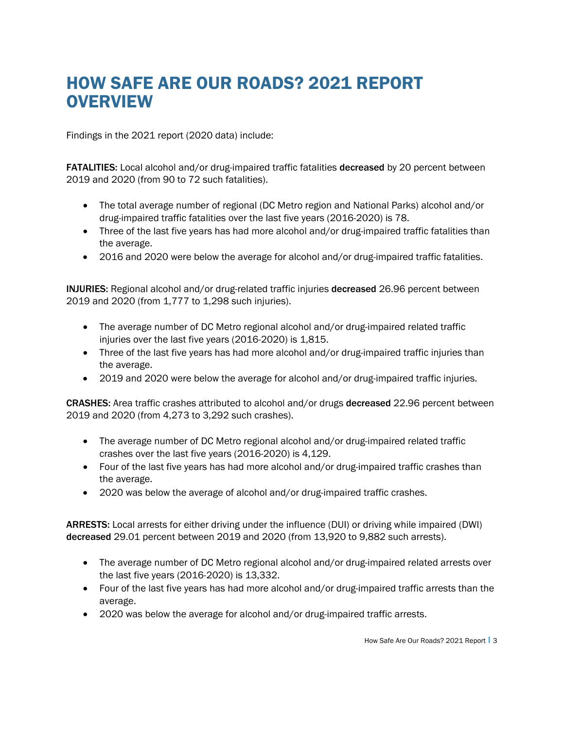### HOW SAFE ARE OUR ROADS? 2021 REPORT **OVERVIEW**

Findings in the 2021 report (2020 data) include:

FATALITIES: Local alcohol and/or drug-impaired traffic fatalities decreased by 20 percent between 2019 and 2020 (from 90 to 72 such fatalities).

- The total average number of regional (DC Metro region and National Parks) alcohol and/or drug-impaired traffic fatalities over the last five years (2016-2020) is 78.
- Three of the last five years has had more alcohol and/or drug-impaired traffic fatalities than the average.
- 2016 and 2020 were below the average for alcohol and/or drug-impaired traffic fatalities.

INJURIES: Regional alcohol and/or drug-related traffic injuries decreased 26.96 percent between 2019 and 2020 (from 1,777 to 1,298 such injuries).

- The average number of DC Metro regional alcohol and/or drug-impaired related traffic injuries over the last five years (2016-2020) is 1,815.
- Three of the last five years has had more alcohol and/or drug-impaired traffic injuries than the average.
- 2019 and 2020 were below the average for alcohol and/or drug-impaired traffic injuries.

CRASHES: Area traffic crashes attributed to alcohol and/or drugs decreased 22.96 percent between 2019 and 2020 (from 4,273 to 3,292 such crashes).

- The average number of DC Metro regional alcohol and/or drug-impaired related traffic crashes over the last five years (2016-2020) is 4,129.
- Four of the last five years has had more alcohol and/or drug-impaired traffic crashes than the average.
- 2020 was below the average of alcohol and/or drug-impaired traffic crashes.

ARRESTS: Local arrests for either driving under the influence (DUI) or driving while impaired (DWI) decreased 29.01 percent between 2019 and 2020 (from 13,920 to 9,882 such arrests).

- The average number of DC Metro regional alcohol and/or drug-impaired related arrests over the last five years (2016-2020) is 13,332.
- Four of the last five years has had more alcohol and/or drug-impaired traffic arrests than the average.
- 2020 was below the average for alcohol and/or drug-impaired traffic arrests.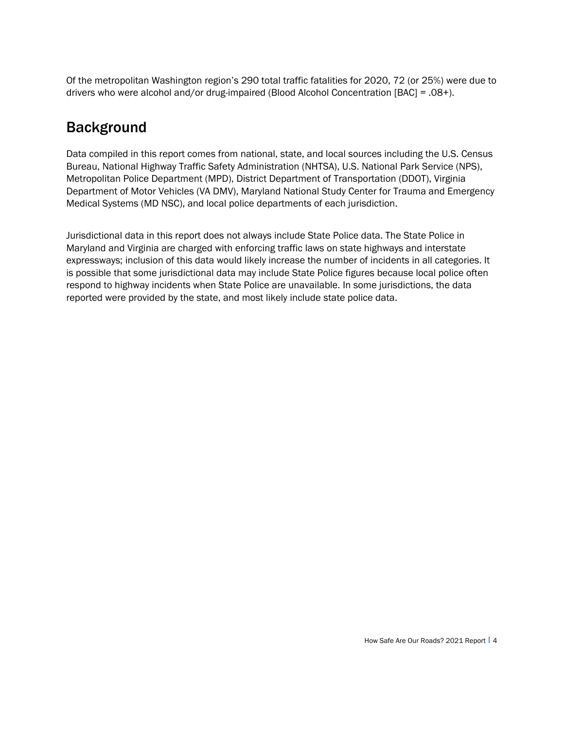Of the metropolitan Washington region's 290 total traffic fatalities for 2020, 72 (or 25%) were due to drivers who were alcohol and/or drug-impaired (Blood Alcohol Concentration [BAC] = .08+).

### Background

Data compiled in this report comes from national, state, and local sources including the U.S. Census Bureau, National Highway Traffic Safety Administration (NHTSA), U.S. National Park Service (NPS), Metropolitan Police Department (MPD), District Department of Transportation (DDOT), Virginia Department of Motor Vehicles (VA DMV), Maryland National Study Center for Trauma and Emergency Medical Systems (MD NSC), and local police departments of each jurisdiction.

Jurisdictional data in this report does not always include State Police data. The State Police in Maryland and Virginia are charged with enforcing traffic laws on state highways and interstate expressways; inclusion of this data would likely increase the number of incidents in all categories. It is possible that some jurisdictional data may include State Police figures because local police often respond to highway incidents when State Police are unavailable. In some jurisdictions, the data reported were provided by the state, and most likely include state police data.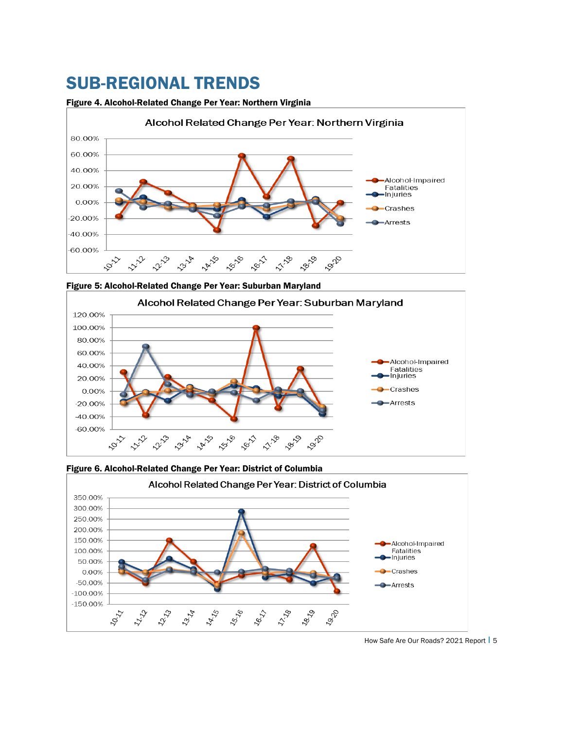### SUB-REGIONAL TRENDS

#### Figure 4. Alcohol-Related Change Per Year: Northern Virginia



Figure 5: Alcohol-Related Change Per Year: Suburban Maryland





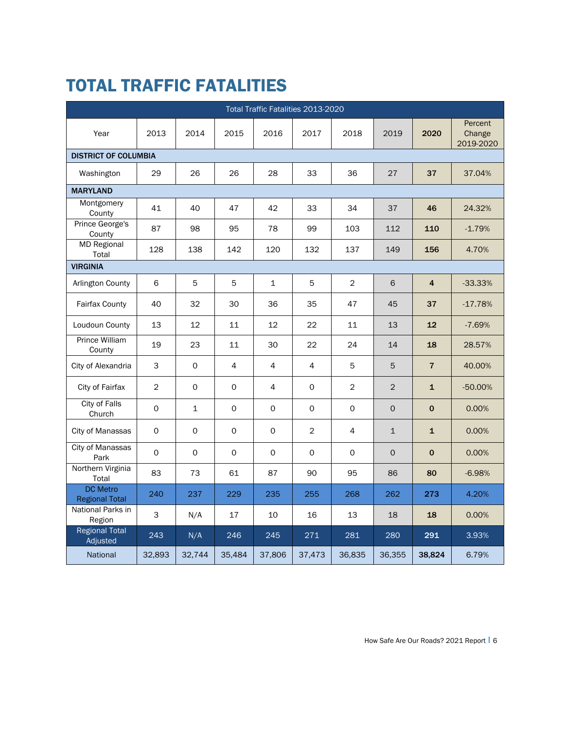## TOTAL TRAFFIC FATALITIES

|                                          | Total Traffic Fatalities 2013-2020 |              |              |             |              |                |              |                |                                |  |  |  |  |
|------------------------------------------|------------------------------------|--------------|--------------|-------------|--------------|----------------|--------------|----------------|--------------------------------|--|--|--|--|
| Year                                     | 2013                               | 2014         | 2015         | 2016        | 2017         | 2018           | 2019         | 2020           | Percent<br>Change<br>2019-2020 |  |  |  |  |
| <b>DISTRICT OF COLUMBIA</b>              |                                    |              |              |             |              |                |              |                |                                |  |  |  |  |
| Washington                               | 29                                 | 26           | 26           | 28          | 33           | 36             | 27           | 37             | 37.04%                         |  |  |  |  |
| <b>MARYLAND</b>                          |                                    |              |              |             |              |                |              |                |                                |  |  |  |  |
| Montgomery<br>County                     | 41                                 | 40           | 47           | 42          | 33           | 34             | 37           | 46             | 24.32%                         |  |  |  |  |
| Prince George's<br>County                | 87                                 | 98           | 95           | 78          | 99           | 103            | 112          | 110            | $-1.79%$                       |  |  |  |  |
| MD Regional<br>Total                     | 128                                | 138          | 142          | 120         | 132          | 137            | 149          | 156            | 4.70%                          |  |  |  |  |
| <b>VIRGINIA</b>                          |                                    |              |              |             |              |                |              |                |                                |  |  |  |  |
| Arlington County                         | 6                                  | 5            | 5            | $\mathbf 1$ | 5            | $\overline{2}$ | 6            | $\overline{4}$ | $-33.33%$                      |  |  |  |  |
| Fairfax County                           | 40                                 | 32           | 30           | 36          | 35           | 47             | 45           | 37             | $-17.78%$                      |  |  |  |  |
| Loudoun County                           | 13                                 | 12           | 11           | 12          | 22           | 11             | 13           | 12             | $-7.69%$                       |  |  |  |  |
| Prince William<br>County                 | 19                                 | 23           | 11           | 30          | 22           | 24             | 14           | 18             | 28.57%                         |  |  |  |  |
| City of Alexandria                       | 3                                  | $\mathsf{O}$ | 4            | 4           | 4            | 5              | 5            | $\overline{7}$ | 40.00%                         |  |  |  |  |
| City of Fairfax                          | $\overline{2}$                     | 0            | 0            | 4           | 0            | $\overline{c}$ | 2            | $\mathbf{1}$   | $-50.00%$                      |  |  |  |  |
| City of Falls<br>Church                  | $\mathbf 0$                        | $\mathbf 1$  | $\mathsf{O}$ | $\mathbf 0$ | $\mathsf{O}$ | $\mathsf{O}$   | $\Omega$     | $\mathbf 0$    | 0.00%                          |  |  |  |  |
| City of Manassas                         | 0                                  | 0            | 0            | $\circ$     | 2            | 4              | $\mathbf{1}$ | $\mathbf{1}$   | 0.00%                          |  |  |  |  |
| City of Manassas<br>Park                 | 0                                  | 0            | 0            | 0           | 0            | $\mathsf{O}$   | $\mathsf{O}$ | $\mathbf 0$    | 0.00%                          |  |  |  |  |
| Northern Virginia<br>Total               | 83                                 | 73           | 61           | 87          | 90           | 95             | 86           | 80             | $-6.98%$                       |  |  |  |  |
| <b>DC</b> Metro<br><b>Regional Total</b> | 240                                | 237          | 229          | 235         | 255          | 268            | 262          | 273            | 4.20%                          |  |  |  |  |
| National Parks in<br>Region              | 3                                  | N/A          | 17           | 10          | 16           | 13             | 18           | 18             | 0.00%                          |  |  |  |  |
| <b>Regional Total</b><br>Adjusted        | 243                                | N/A          | 246          | 245         | 271          | 281            | 280          | 291            | 3.93%                          |  |  |  |  |
| National                                 | 32,893                             | 32,744       | 35,484       | 37,806      | 37,473       | 36,835         | 36,355       | 38,824         | 6.79%                          |  |  |  |  |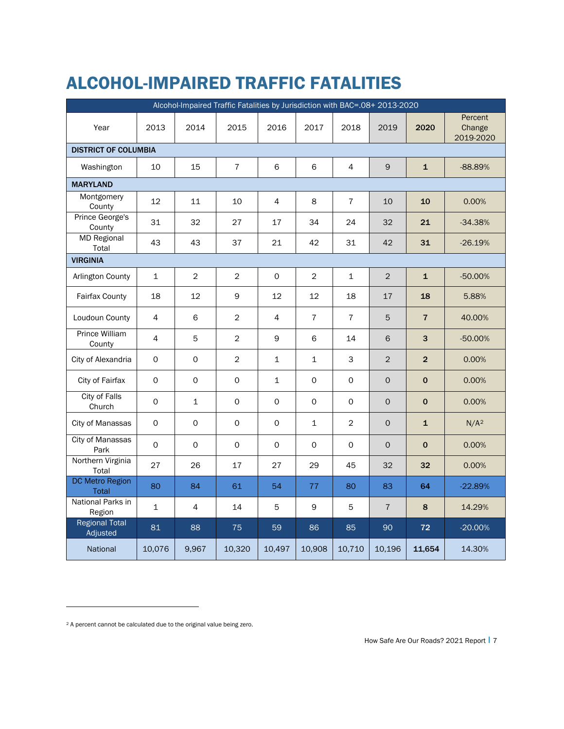## ALCOHOL-IMPAIRED TRAFFIC FATALITIES

| Alcohol-Impaired Traffic Fatalities by Jurisdiction with BAC=.08+ 2013-2020 |                     |                     |                     |                     |                |                     |                |                |                                |  |  |  |
|-----------------------------------------------------------------------------|---------------------|---------------------|---------------------|---------------------|----------------|---------------------|----------------|----------------|--------------------------------|--|--|--|
| Year                                                                        | 2013                | 2014                | 2015                | 2016                | 2017           | 2018                | 2019           | 2020           | Percent<br>Change<br>2019-2020 |  |  |  |
| <b>DISTRICT OF COLUMBIA</b>                                                 |                     |                     |                     |                     |                |                     |                |                |                                |  |  |  |
| Washington                                                                  | 10                  | 15                  | $\overline{7}$      | 6                   | 6              | $\overline{4}$      | 9              | $\mathbf{1}$   | $-88.89%$                      |  |  |  |
| <b>MARYLAND</b>                                                             |                     |                     |                     |                     |                |                     |                |                |                                |  |  |  |
| Montgomery<br>County                                                        | 12                  | 11                  | 10                  | 4                   | 8              | $\bf 7$             | 10             | 10             | 0.00%                          |  |  |  |
| Prince George's<br>County                                                   | 31                  | 32                  | 27                  | 17                  | 34             | 24                  | 32             | 21             | $-34.38%$                      |  |  |  |
| <b>MD Regional</b><br>Total                                                 | 43                  | 43                  | 37                  | 21                  | 42             | 31                  | 42             | 31             | $-26.19%$                      |  |  |  |
| <b>VIRGINIA</b>                                                             |                     |                     |                     |                     |                |                     |                |                |                                |  |  |  |
| Arlington County                                                            | $\mathbf{1}$        | $\overline{2}$      | $\overline{2}$      | $\mathsf{O}$        | $\overline{2}$ | $\mathbf{1}$        | 2              | $\mathbf{1}$   | $-50.00%$                      |  |  |  |
| <b>Fairfax County</b>                                                       | 18                  | 12                  | 9                   | 12                  | 12             | 18                  | 17             | 18             | 5.88%                          |  |  |  |
| Loudoun County                                                              | $\overline{4}$      | 6                   | 2                   | 4                   | $\overline{7}$ | $\overline{7}$      | 5              | $\overline{7}$ | 40.00%                         |  |  |  |
| Prince William<br>County                                                    | $\overline{4}$      | 5                   | 2                   | 9                   | 6              | 14                  | 6              | 3              | $-50.00%$                      |  |  |  |
| City of Alexandria                                                          | $\mathsf{O}$        | $\mathsf{O}$        | $\overline{2}$      | $\mathbf{1}$        | $\mathbf{1}$   | 3                   | $\overline{2}$ | $\overline{2}$ | 0.00%                          |  |  |  |
| City of Fairfax                                                             | 0                   | $\mathsf{O}$        | $\mathbf 0$         | $\mathbf{1}$        | $\mathsf{O}$   | $\mathsf{O}\xspace$ | $\Omega$       | $\mathbf 0$    | 0.00%                          |  |  |  |
| <b>City of Falls</b><br>Church                                              | 0                   | $\mathbf 1$         | $\mathsf{O}\xspace$ | $\mathsf{O}\xspace$ | 0              | 0                   | $\mathsf{O}$   | $\mathbf 0$    | 0.00%                          |  |  |  |
| City of Manassas                                                            | $\mathsf{O}\xspace$ | $\mathsf{O}\xspace$ | $\mathsf{O}\xspace$ | $\Omega$            | $\mathbf 1$    | $\overline{c}$      | $\Omega$       | $\mathbf{1}$   | N/A <sup>2</sup>               |  |  |  |
| City of Manassas<br>Park                                                    | $\Omega$            | $\Omega$            | $\mathsf{O}$        | $\Omega$            | $\Omega$       | $\mathsf{O}$        | $\Omega$       | $\mathbf 0$    | 0.00%                          |  |  |  |
| Northern Virginia<br>Total                                                  | 27                  | 26                  | 17                  | 27                  | 29             | 45                  | 32             | 32             | 0.00%                          |  |  |  |
| <b>DC Metro Region</b><br><b>Total</b>                                      | 80                  | 84                  | 61                  | 54                  | 77             | 80                  | 83             | 64             | $-22.89%$                      |  |  |  |
| National Parks in<br>Region                                                 | $\mathbf 1$         | 4                   | 14                  | 5                   | $\mathsf 9$    | 5                   | $\overline{7}$ | 8              | 14.29%                         |  |  |  |
| <b>Regional Total</b><br>Adjusted                                           | 81                  | 88                  | 75                  | 59                  | 86             | 85                  | 90             | 72             | $-20.00%$                      |  |  |  |
| National                                                                    | 10,076              | 9,967               | 10,320              | 10,497              | 10,908         | 10,710              | 10,196         | 11,654         | 14.30%                         |  |  |  |

<span id="page-10-0"></span><sup>2</sup> A percent cannot be calculated due to the original value being zero.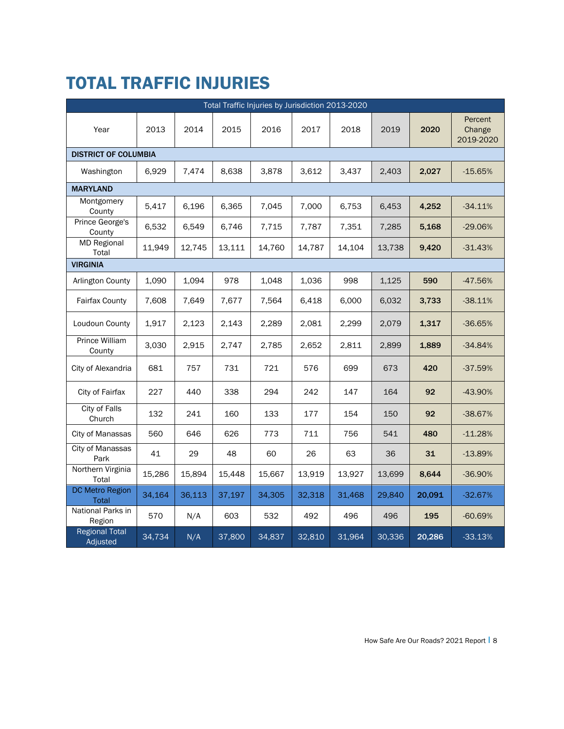### TOTAL TRAFFIC INJURIES

|                                        |        |        |        | Total Traffic Injuries by Jurisdiction 2013-2020 |        |        |        |        |                                |  |
|----------------------------------------|--------|--------|--------|--------------------------------------------------|--------|--------|--------|--------|--------------------------------|--|
| Year                                   | 2013   | 2014   | 2015   | 2016                                             | 2017   | 2018   | 2019   | 2020   | Percent<br>Change<br>2019-2020 |  |
| <b>DISTRICT OF COLUMBIA</b>            |        |        |        |                                                  |        |        |        |        |                                |  |
| Washington                             | 6,929  | 7,474  | 8,638  | 3,878                                            | 3,612  | 3,437  | 2,403  | 2,027  | $-15.65%$                      |  |
| <b>MARYLAND</b>                        |        |        |        |                                                  |        |        |        |        |                                |  |
| Montgomery<br>County                   | 5,417  | 6,196  | 6,365  | 7,045                                            | 7,000  | 6,753  | 6,453  | 4,252  | $-34.11%$                      |  |
| Prince George's<br>County              | 6,532  | 6,549  | 6,746  | 7,715                                            | 7,787  | 7,351  | 7,285  | 5,168  | $-29.06%$                      |  |
| <b>MD Regional</b><br>Total            | 11,949 | 12,745 | 13,111 | 14,760                                           | 14,787 | 14,104 | 13,738 | 9,420  | $-31.43%$                      |  |
| <b>VIRGINIA</b>                        |        |        |        |                                                  |        |        |        |        |                                |  |
| Arlington County                       | 1,090  | 1,094  | 978    | 1,048                                            | 1,036  | 998    | 1,125  | 590    | $-47.56%$                      |  |
| <b>Fairfax County</b>                  | 7,608  | 7,649  | 7,677  | 7,564                                            | 6,418  | 6,000  | 6,032  | 3,733  | $-38.11%$                      |  |
| Loudoun County                         | 1,917  | 2,123  | 2,143  | 2,289                                            | 2,081  | 2,299  | 2,079  | 1,317  | $-36.65%$                      |  |
| Prince William<br>County               | 3,030  | 2,915  | 2,747  | 2,785                                            | 2,652  | 2,811  | 2,899  | 1,889  | $-34.84%$                      |  |
| City of Alexandria                     | 681    | 757    | 731    | 721                                              | 576    | 699    | 673    | 420    | $-37.59%$                      |  |
| City of Fairfax                        | 227    | 440    | 338    | 294                                              | 242    | 147    | 164    | 92     | $-43.90%$                      |  |
| <b>City of Falls</b><br>Church         | 132    | 241    | 160    | 133                                              | 177    | 154    | 150    | 92     | $-38.67%$                      |  |
| City of Manassas                       | 560    | 646    | 626    | 773                                              | 711    | 756    | 541    | 480    | $-11.28%$                      |  |
| City of Manassas<br>Park               | 41     | 29     | 48     | 60                                               | 26     | 63     | 36     | 31     | $-13.89%$                      |  |
| Northern Virginia<br>Total             | 15,286 | 15,894 | 15,448 | 15,667                                           | 13,919 | 13,927 | 13,699 | 8,644  | $-36.90%$                      |  |
| <b>DC Metro Region</b><br><b>Total</b> | 34,164 | 36,113 | 37,197 | 34,305                                           | 32,318 | 31,468 | 29,840 | 20,091 | $-32.67%$                      |  |
| National Parks in<br>Region            | 570    | N/A    | 603    | 532                                              | 492    | 496    | 496    | 195    | $-60.69%$                      |  |
| <b>Regional Total</b><br>Adjusted      | 34,734 | N/A    | 37,800 | 34,837                                           | 32,810 | 31,964 | 30,336 | 20,286 | $-33.13%$                      |  |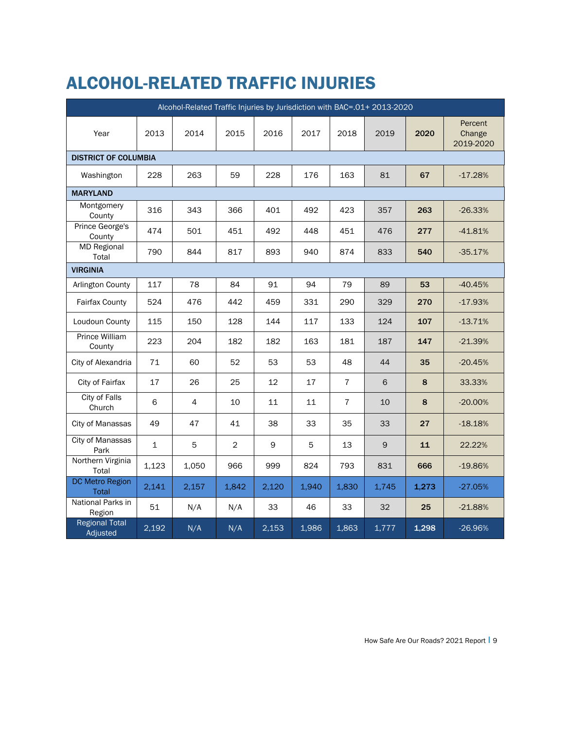## ALCOHOL-RELATED TRAFFIC INJURIES

|                                        | Alcohol-Related Traffic Injuries by Jurisdiction with BAC=.01+ 2013-2020 |       |                |       |       |                |             |       |                                |  |  |  |
|----------------------------------------|--------------------------------------------------------------------------|-------|----------------|-------|-------|----------------|-------------|-------|--------------------------------|--|--|--|
| Year                                   | 2013                                                                     | 2014  | 2015           | 2016  | 2017  | 2018           | 2019        | 2020  | Percent<br>Change<br>2019-2020 |  |  |  |
| <b>DISTRICT OF COLUMBIA</b>            |                                                                          |       |                |       |       |                |             |       |                                |  |  |  |
| Washington                             | 228                                                                      | 263   | 59             | 228   | 176   | 163            | 81          | 67    | $-17.28%$                      |  |  |  |
| <b>MARYLAND</b>                        |                                                                          |       |                |       |       |                |             |       |                                |  |  |  |
| Montgomery<br>County                   | 316                                                                      | 343   | 366            | 401   | 492   | 423            | 357         | 263   | $-26.33%$                      |  |  |  |
| Prince George's<br>County              | 474                                                                      | 501   | 451            | 492   | 448   | 451            | 476         | 277   | $-41.81%$                      |  |  |  |
| <b>MD Regional</b><br>Total            | 790                                                                      | 844   | 817            | 893   | 940   | 874            | 833         | 540   | $-35.17%$                      |  |  |  |
| <b>VIRGINIA</b>                        |                                                                          |       |                |       |       |                |             |       |                                |  |  |  |
| Arlington County                       | 117                                                                      | 78    | 84             | 91    | 94    | 79             | 89          | 53    | $-40.45%$                      |  |  |  |
| <b>Fairfax County</b>                  | 524                                                                      | 476   | 442            | 459   | 331   | 290            | 329         | 270   | $-17.93%$                      |  |  |  |
| Loudoun County                         | 115                                                                      | 150   | 128            | 144   | 117   | 133            | 124         | 107   | $-13.71%$                      |  |  |  |
| Prince William<br>County               | 223                                                                      | 204   | 182            | 182   | 163   | 181            | 187         | 147   | $-21.39%$                      |  |  |  |
| City of Alexandria                     | 71                                                                       | 60    | 52             | 53    | 53    | 48             | 44          | 35    | $-20.45%$                      |  |  |  |
| City of Fairfax                        | 17                                                                       | 26    | 25             | 12    | 17    | $\overline{7}$ | 6           | 8     | 33.33%                         |  |  |  |
| City of Falls<br>Church                | 6                                                                        | 4     | 10             | 11    | 11    | $\overline{7}$ | 10          | 8     | $-20.00%$                      |  |  |  |
| City of Manassas                       | 49                                                                       | 47    | 41             | 38    | 33    | 35             | 33          | 27    | $-18.18%$                      |  |  |  |
| City of Manassas<br>Park               | $\mathbf{1}$                                                             | 5     | $\overline{2}$ | 9     | 5     | 13             | $\mathsf 9$ | 11    | 22.22%                         |  |  |  |
| Northern Virginia<br>Total             | 1,123                                                                    | 1,050 | 966            | 999   | 824   | 793            | 831         | 666   | $-19.86%$                      |  |  |  |
| <b>DC Metro Region</b><br><b>Total</b> | 2,141                                                                    | 2,157 | 1,842          | 2,120 | 1,940 | 1,830          | 1,745       | 1,273 | $-27.05%$                      |  |  |  |
| National Parks in<br>Region            | 51                                                                       | N/A   | N/A            | 33    | 46    | 33             | 32          | 25    | $-21.88%$                      |  |  |  |
| <b>Regional Total</b><br>Adjusted      | 2,192                                                                    | N/A   | N/A            | 2,153 | 1,986 | 1,863          | 1,777       | 1,298 | $-26.96%$                      |  |  |  |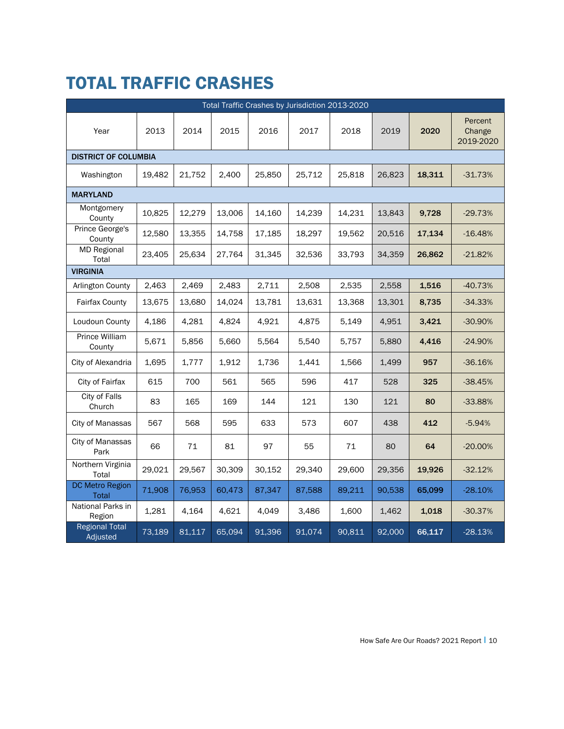## TOTAL TRAFFIC CRASHES

|                                   | Total Traffic Crashes by Jurisdiction 2013-2020 |        |        |        |        |        |        |        |                                |  |  |  |
|-----------------------------------|-------------------------------------------------|--------|--------|--------|--------|--------|--------|--------|--------------------------------|--|--|--|
| Year                              | 2013                                            | 2014   | 2015   | 2016   | 2017   | 2018   | 2019   | 2020   | Percent<br>Change<br>2019-2020 |  |  |  |
| <b>DISTRICT OF COLUMBIA</b>       |                                                 |        |        |        |        |        |        |        |                                |  |  |  |
| Washington                        | 19.482                                          | 21,752 | 2,400  | 25,850 | 25,712 | 25,818 | 26,823 | 18,311 | $-31.73%$                      |  |  |  |
| <b>MARYLAND</b>                   |                                                 |        |        |        |        |        |        |        |                                |  |  |  |
| Montgomery<br>County              | 10,825                                          | 12,279 | 13,006 | 14,160 | 14,239 | 14,231 | 13,843 | 9,728  | $-29.73%$                      |  |  |  |
| Prince George's<br>County         | 12,580                                          | 13,355 | 14,758 | 17,185 | 18,297 | 19,562 | 20,516 | 17,134 | $-16.48%$                      |  |  |  |
| <b>MD Regional</b><br>Total       | 23,405                                          | 25,634 | 27,764 | 31,345 | 32,536 | 33,793 | 34,359 | 26,862 | $-21.82%$                      |  |  |  |
| <b>VIRGINIA</b>                   |                                                 |        |        |        |        |        |        |        |                                |  |  |  |
| Arlington County                  | 2,463                                           | 2,469  | 2,483  | 2,711  | 2,508  | 2,535  | 2,558  | 1,516  | $-40.73%$                      |  |  |  |
| <b>Fairfax County</b>             | 13,675                                          | 13,680 | 14,024 | 13,781 | 13,631 | 13,368 | 13,301 | 8,735  | $-34.33%$                      |  |  |  |
| Loudoun County                    | 4,186                                           | 4,281  | 4,824  | 4,921  | 4,875  | 5,149  | 4,951  | 3,421  | $-30.90%$                      |  |  |  |
| Prince William<br>County          | 5,671                                           | 5,856  | 5,660  | 5,564  | 5,540  | 5,757  | 5,880  | 4,416  | $-24.90%$                      |  |  |  |
| City of Alexandria                | 1,695                                           | 1,777  | 1,912  | 1,736  | 1,441  | 1,566  | 1,499  | 957    | $-36.16%$                      |  |  |  |
| City of Fairfax                   | 615                                             | 700    | 561    | 565    | 596    | 417    | 528    | 325    | $-38.45%$                      |  |  |  |
| City of Falls<br>Church           | 83                                              | 165    | 169    | 144    | 121    | 130    | 121    | 80     | $-33.88%$                      |  |  |  |
| City of Manassas                  | 567                                             | 568    | 595    | 633    | 573    | 607    | 438    | 412    | $-5.94%$                       |  |  |  |
| City of Manassas<br>Park          | 66                                              | 71     | 81     | 97     | 55     | 71     | 80     | 64     | $-20.00%$                      |  |  |  |
| Northern Virginia<br>Total        | 29,021                                          | 29,567 | 30,309 | 30,152 | 29,340 | 29,600 | 29,356 | 19,926 | $-32.12%$                      |  |  |  |
| DC Metro Region<br>Total          | 71,908                                          | 76,953 | 60,473 | 87,347 | 87,588 | 89,211 | 90,538 | 65,099 | $-28.10%$                      |  |  |  |
| National Parks in<br>Region       | 1,281                                           | 4,164  | 4,621  | 4,049  | 3,486  | 1,600  | 1,462  | 1,018  | $-30.37%$                      |  |  |  |
| <b>Regional Total</b><br>Adjusted | 73,189                                          | 81,117 | 65,094 | 91,396 | 91,074 | 90,811 | 92,000 | 66,117 | $-28.13%$                      |  |  |  |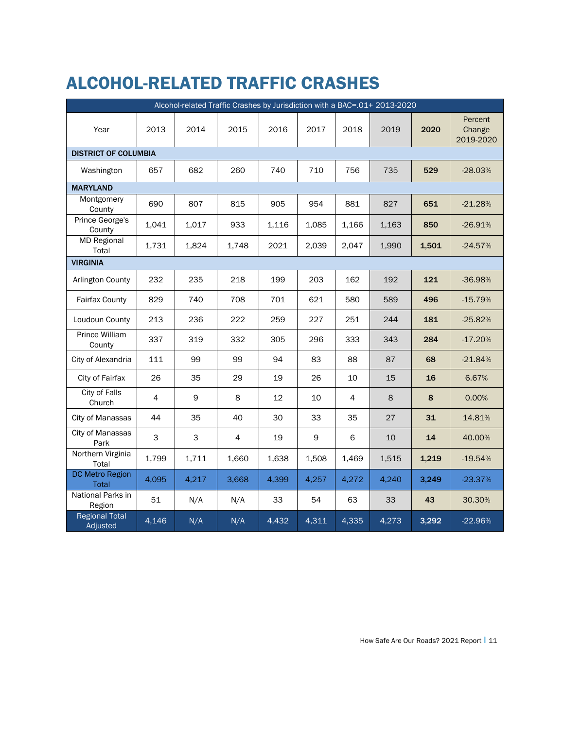## ALCOHOL-RELATED TRAFFIC CRASHES

|                                   | Alcohol-related Traffic Crashes by Jurisdiction with a BAC=.01+ 2013-2020 |             |       |       |             |                |         |       |                                |  |  |  |  |
|-----------------------------------|---------------------------------------------------------------------------|-------------|-------|-------|-------------|----------------|---------|-------|--------------------------------|--|--|--|--|
| Year                              | 2013                                                                      | 2014        | 2015  | 2016  | 2017        | 2018           | 2019    | 2020  | Percent<br>Change<br>2019-2020 |  |  |  |  |
| <b>DISTRICT OF COLUMBIA</b>       |                                                                           |             |       |       |             |                |         |       |                                |  |  |  |  |
| Washington                        | 657                                                                       | 682         | 260   | 740   | 710         | 756            | 735     | 529   | $-28.03%$                      |  |  |  |  |
| <b>MARYLAND</b>                   |                                                                           |             |       |       |             |                |         |       |                                |  |  |  |  |
| Montgomery<br>County              | 690                                                                       | 807         | 815   | 905   | 954         | 881            | 827     | 651   | $-21.28%$                      |  |  |  |  |
| Prince George's<br>County         | 1,041                                                                     | 1,017       | 933   | 1,116 | 1,085       | 1,166          | 1,163   | 850   | $-26.91%$                      |  |  |  |  |
| <b>MD Regional</b><br>Total       | 1,731                                                                     | 1,824       | 1,748 | 2021  | 2,039       | 2,047          | 1,990   | 1,501 | $-24.57%$                      |  |  |  |  |
| <b>VIRGINIA</b>                   |                                                                           |             |       |       |             |                |         |       |                                |  |  |  |  |
| Arlington County                  | 232                                                                       | 235         | 218   | 199   | 203         | 162            | 192     | 121   | $-36.98%$                      |  |  |  |  |
| <b>Fairfax County</b>             | 829                                                                       | 740         | 708   | 701   | 621         | 580            | 589     | 496   | $-15.79%$                      |  |  |  |  |
| Loudoun County                    | 213                                                                       | 236         | 222   | 259   | 227         | 251            | 244     | 181   | $-25.82%$                      |  |  |  |  |
| Prince William<br>County          | 337                                                                       | 319         | 332   | 305   | 296         | 333            | 343     | 284   | $-17.20%$                      |  |  |  |  |
| City of Alexandria                | 111                                                                       | 99          | 99    | 94    | 83          | 88             | 87      | 68    | $-21.84%$                      |  |  |  |  |
| City of Fairfax                   | 26                                                                        | 35          | 29    | 19    | 26          | 10             | 15      | 16    | 6.67%                          |  |  |  |  |
| City of Falls<br>Church           | 4                                                                         | $\mathsf 9$ | 8     | 12    | 10          | $\overline{4}$ | $\,8\,$ | 8     | 0.00%                          |  |  |  |  |
| City of Manassas                  | 44                                                                        | 35          | 40    | 30    | 33          | 35             | 27      | 31    | 14.81%                         |  |  |  |  |
| <b>City of Manassas</b><br>Park   | 3                                                                         | 3           | 4     | 19    | $\mathsf 9$ | 6              | 10      | 14    | 40.00%                         |  |  |  |  |
| Northern Virginia<br>Total        | 1,799                                                                     | 1,711       | 1,660 | 1,638 | 1,508       | 1,469          | 1,515   | 1,219 | $-19.54%$                      |  |  |  |  |
| DC Metro Region<br>Total          | 4,095                                                                     | 4,217       | 3,668 | 4,399 | 4,257       | 4,272          | 4,240   | 3,249 | $-23.37%$                      |  |  |  |  |
| National Parks in<br>Region       | 51                                                                        | N/A         | N/A   | 33    | 54          | 63             | 33      | 43    | 30.30%                         |  |  |  |  |
| <b>Regional Total</b><br>Adjusted | 4,146                                                                     | N/A         | N/A   | 4,432 | 4,311       | 4,335          | 4,273   | 3,292 | $-22.96%$                      |  |  |  |  |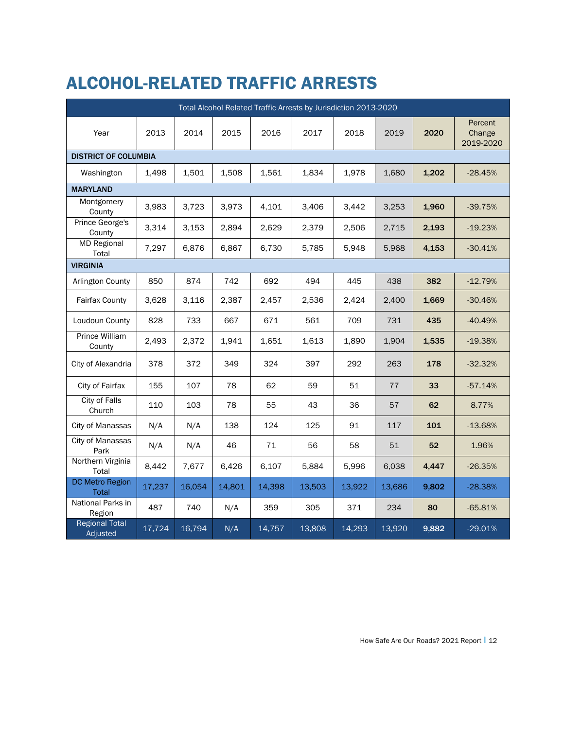## ALCOHOL-RELATED TRAFFIC ARRESTS

|                                        |        |        |        |        | Total Alcohol Related Traffic Arrests by Jurisdiction 2013-2020 |        |        |       |                                |  |
|----------------------------------------|--------|--------|--------|--------|-----------------------------------------------------------------|--------|--------|-------|--------------------------------|--|
| Year                                   | 2013   | 2014   | 2015   | 2016   | 2017                                                            | 2018   | 2019   | 2020  | Percent<br>Change<br>2019-2020 |  |
| <b>DISTRICT OF COLUMBIA</b>            |        |        |        |        |                                                                 |        |        |       |                                |  |
| Washington                             | 1,498  | 1,501  | 1,508  | 1,561  | 1,834                                                           | 1,978  | 1,680  | 1,202 | $-28.45%$                      |  |
| <b>MARYLAND</b>                        |        |        |        |        |                                                                 |        |        |       |                                |  |
| Montgomery<br>County                   | 3,983  | 3,723  | 3,973  | 4,101  | 3,406                                                           | 3,442  | 3,253  | 1,960 | $-39.75%$                      |  |
| Prince George's<br>County              | 3,314  | 3,153  | 2,894  | 2,629  | 2,379                                                           | 2,506  | 2,715  | 2,193 | $-19.23%$                      |  |
| <b>MD Regional</b><br>Total            | 7,297  | 6,876  | 6,867  | 6,730  | 5,785                                                           | 5,948  | 5,968  | 4,153 | $-30.41%$                      |  |
| <b>VIRGINIA</b>                        |        |        |        |        |                                                                 |        |        |       |                                |  |
| Arlington County                       | 850    | 874    | 742    | 692    | 494                                                             | 445    | 438    | 382   | $-12.79%$                      |  |
| Fairfax County                         | 3,628  | 3,116  | 2,387  | 2,457  | 2,536                                                           | 2,424  | 2,400  | 1,669 | $-30.46%$                      |  |
| Loudoun County                         | 828    | 733    | 667    | 671    | 561                                                             | 709    | 731    | 435   | $-40.49%$                      |  |
| Prince William<br>County               | 2,493  | 2,372  | 1,941  | 1,651  | 1,613                                                           | 1,890  | 1,904  | 1,535 | $-19.38%$                      |  |
| City of Alexandria                     | 378    | 372    | 349    | 324    | 397                                                             | 292    | 263    | 178   | $-32.32%$                      |  |
| City of Fairfax                        | 155    | 107    | 78     | 62     | 59                                                              | 51     | 77     | 33    | $-57.14%$                      |  |
| City of Falls<br>Church                | 110    | 103    | 78     | 55     | 43                                                              | 36     | 57     | 62    | 8.77%                          |  |
| City of Manassas                       | N/A    | N/A    | 138    | 124    | 125                                                             | 91     | 117    | 101   | $-13.68%$                      |  |
| <b>City of Manassas</b><br>Park        | N/A    | N/A    | 46     | 71     | 56                                                              | 58     | 51     | 52    | 1.96%                          |  |
| Northern Virginia<br>Total             | 8,442  | 7,677  | 6,426  | 6,107  | 5,884                                                           | 5,996  | 6.038  | 4,447 | $-26.35%$                      |  |
| <b>DC Metro Region</b><br><b>Total</b> | 17,237 | 16,054 | 14,801 | 14,398 | 13,503                                                          | 13,922 | 13,686 | 9,802 | $-28.38%$                      |  |
| National Parks in<br>Region            | 487    | 740    | N/A    | 359    | 305                                                             | 371    | 234    | 80    | $-65.81%$                      |  |
| <b>Regional Total</b><br>Adjusted      | 17,724 | 16,794 | N/A    | 14,757 | 13,808                                                          | 14,293 | 13,920 | 9,882 | $-29.01%$                      |  |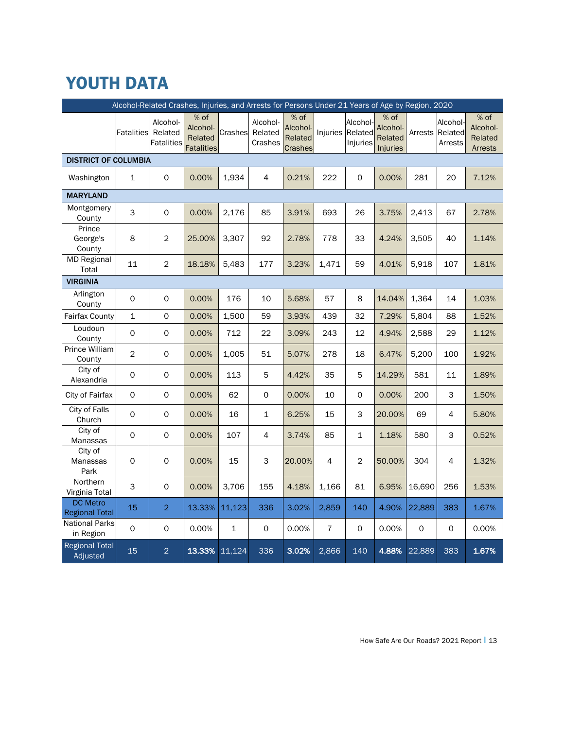## YOUTH DATA

|                                          | Alcohol-Related Crashes, Injuries, and Arrests for Persons Under 21 Years of Age by Region, 2020 |                                          |                                                  |             |                                |                                                 |                |                                 |                                                  |        |                                        |                                                 |  |
|------------------------------------------|--------------------------------------------------------------------------------------------------|------------------------------------------|--------------------------------------------------|-------------|--------------------------------|-------------------------------------------------|----------------|---------------------------------|--------------------------------------------------|--------|----------------------------------------|-------------------------------------------------|--|
|                                          | <b>Fatalities</b>                                                                                | Alcohol-<br>Related<br><b>Fatalities</b> | % of<br>Alcohol-<br>Related<br><b>Fatalities</b> | Crashes     | Alcohol-<br>Related<br>Crashes | $%$ of<br>Alcohol-<br>Related<br><b>Crashes</b> | Injuries       | Alcohol-<br>Related<br>Injuries | $%$ of<br>Alcohol-<br>Related<br><b>Injuries</b> |        | Alcohol-<br>Arrests Related<br>Arrests | $%$ of<br>Alcohol-<br>Related<br><b>Arrests</b> |  |
| <b>DISTRICT OF COLUMBIA</b>              |                                                                                                  |                                          |                                                  |             |                                |                                                 |                |                                 |                                                  |        |                                        |                                                 |  |
| Washington                               | $\mathbf{1}$                                                                                     | $\mathsf{O}\xspace$                      | 0.00%                                            | 1,934       | 4                              | 0.21%                                           | 222            | 0                               | 0.00%                                            | 281    | 20                                     | 7.12%                                           |  |
| <b>MARYLAND</b>                          |                                                                                                  |                                          |                                                  |             |                                |                                                 |                |                                 |                                                  |        |                                        |                                                 |  |
| Montgomery<br>County                     | 3                                                                                                | $\mathsf{O}\xspace$                      | 0.00%                                            | 2,176       | 85                             | 3.91%                                           | 693            | 26                              | 3.75%                                            | 2,413  | 67                                     | 2.78%                                           |  |
| Prince<br>George's<br>County             | 8                                                                                                | $\overline{2}$                           | 25.00%                                           | 3,307       | 92                             | 2.78%                                           | 778            | 33                              | 4.24%                                            | 3,505  | 40                                     | 1.14%                                           |  |
| <b>MD Regional</b><br>Total              | 11                                                                                               | $\overline{2}$                           | 18.18%                                           | 5,483       | 177                            | 3.23%                                           | 1,471          | 59                              | 4.01%                                            | 5,918  | 107                                    | 1.81%                                           |  |
| <b>VIRGINIA</b>                          |                                                                                                  |                                          |                                                  |             |                                |                                                 |                |                                 |                                                  |        |                                        |                                                 |  |
| Arlington<br>County                      | 0                                                                                                | 0                                        | 0.00%                                            | 176         | 10                             | 5.68%                                           | 57             | 8                               | 14.04%                                           | 1,364  | 14                                     | 1.03%                                           |  |
| Fairfax County                           | $\mathbf{1}$                                                                                     | 0                                        | 0.00%                                            | 1,500       | 59                             | 3.93%                                           | 439            | 32                              | 7.29%                                            | 5,804  | 88                                     | 1.52%                                           |  |
| Loudoun<br>County                        | $\mathsf{O}$                                                                                     | $\mathsf{O}$                             | 0.00%                                            | 712         | 22                             | 3.09%                                           | 243            | 12                              | 4.94%                                            | 2,588  | 29                                     | 1.12%                                           |  |
| <b>Prince William</b><br>County          | $\overline{c}$                                                                                   | 0                                        | 0.00%                                            | 1,005       | 51                             | 5.07%                                           | 278            | 18                              | 6.47%                                            | 5,200  | 100                                    | 1.92%                                           |  |
| City of<br>Alexandria                    | 0                                                                                                | $\mathsf{O}\xspace$                      | 0.00%                                            | 113         | 5                              | 4.42%                                           | 35             | 5                               | 14.29%                                           | 581    | 11                                     | 1.89%                                           |  |
| City of Fairfax                          | $\mathsf{O}\xspace$                                                                              | $\mathsf{O}$                             | 0.00%                                            | 62          | $\mathbf 0$                    | 0.00%                                           | 10             | $\mathsf{O}$                    | 0.00%                                            | 200    | 3                                      | 1.50%                                           |  |
| City of Falls<br>Church                  | $\mathsf{O}\xspace$                                                                              | 0                                        | 0.00%                                            | 16          | $\mathbf{1}$                   | 6.25%                                           | 15             | 3                               | 20.00%                                           | 69     | 4                                      | 5.80%                                           |  |
| City of<br>Manassas                      | 0                                                                                                | $\mathsf{O}\xspace$                      | 0.00%                                            | 107         | 4                              | 3.74%                                           | 85             | 1                               | 1.18%                                            | 580    | 3                                      | 0.52%                                           |  |
| City of<br>Manassas<br>Park              | 0                                                                                                | 0                                        | 0.00%                                            | 15          | 3                              | 20.00%                                          | 4              | $\overline{2}$                  | 50.00%                                           | 304    | 4                                      | 1.32%                                           |  |
| Northern<br>Virginia Total               | 3                                                                                                | $\mathsf{O}$                             | 0.00%                                            | 3,706       | 155                            | 4.18%                                           | 1,166          | 81                              | 6.95%                                            | 16,690 | 256                                    | 1.53%                                           |  |
| <b>DC Metro</b><br><b>Regional Total</b> | 15                                                                                               | $\overline{2}$                           | 13.33%                                           | 11,123      | 336                            | 3.02%                                           | 2,859          | 140                             | 4.90%                                            | 22,889 | 383                                    | 1.67%                                           |  |
| <b>National Parks</b><br>in Region       | 0                                                                                                | 0                                        | 0.00%                                            | $\mathbf 1$ | 0                              | 0.00%                                           | $\overline{7}$ | 0                               | 0.00%                                            | 0      | 0                                      | 0.00%                                           |  |
| <b>Regional Total</b><br>Adjusted        | 15                                                                                               | $\overline{2}$                           | 13.33%                                           | 11,124      | 336                            | 3.02%                                           | 2,866          | 140                             | 4.88%                                            | 22,889 | 383                                    | 1.67%                                           |  |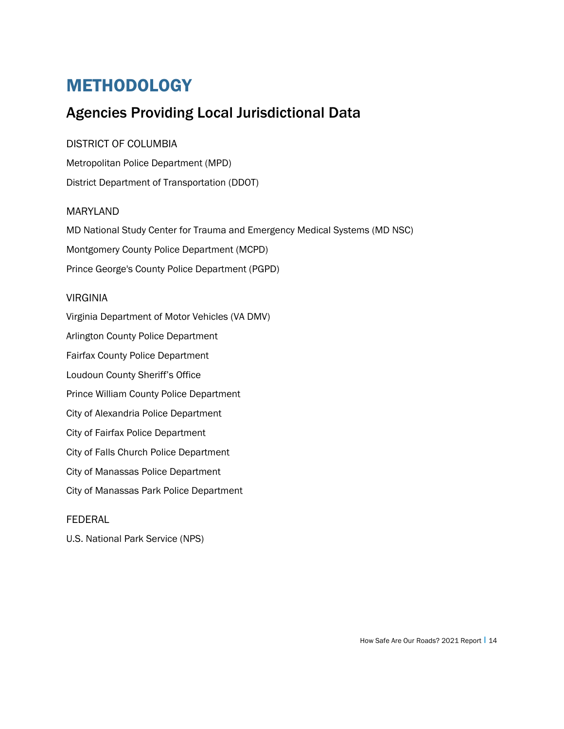### METHODOLOGY

### Agencies Providing Local Jurisdictional Data

#### DISTRICT OF COLUMBIA

Metropolitan Police Department (MPD) District Department of Transportation (DDOT)

#### MARYLAND

MD National Study Center for Trauma and Emergency Medical Systems (MD NSC)

Montgomery County Police Department (MCPD)

Prince George's County Police Department (PGPD)

#### VIRGINIA

Virginia Department of Motor Vehicles (VA DMV) Arlington County Police Department Fairfax County Police Department Loudoun County Sheriff's Office Prince William County Police Department City of Alexandria Police Department City of Fairfax Police Department City of Falls Church Police Department City of Manassas Police Department City of Manassas Park Police Department

#### l FEDERAL

U.S. National Park Service (NPS)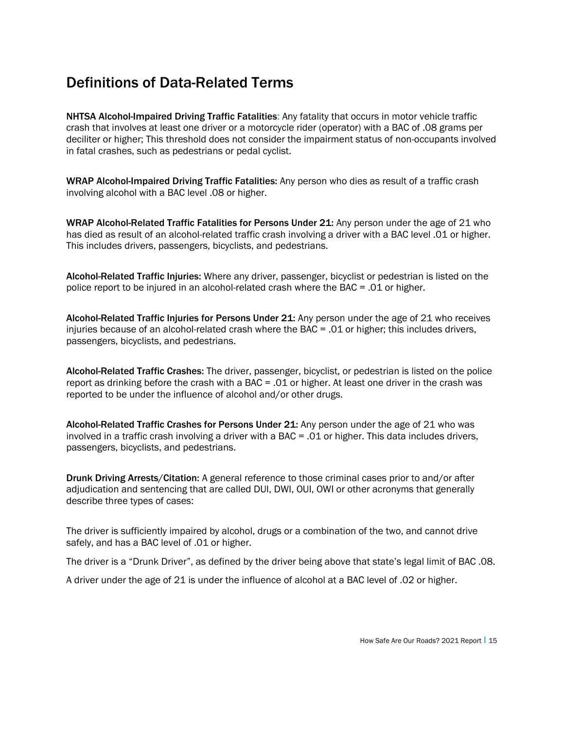### Definitions of Data-Related Terms

NHTSA Alcohol-Impaired Driving Traffic Fatalities: Any fatality that occurs in motor vehicle traffic crash that involves at least one driver or a motorcycle rider (operator) with a BAC of .08 grams per deciliter or higher; This threshold does not consider the impairment status of non-occupants involved in fatal crashes, such as pedestrians or pedal cyclist.

WRAP Alcohol-Impaired Driving Traffic Fatalities: Any person who dies as result of a traffic crash involving alcohol with a BAC level .08 or higher.

WRAP Alcohol-Related Traffic Fatalities for Persons Under 21: Any person under the age of 21 who has died as result of an alcohol-related traffic crash involving a driver with a BAC level .01 or higher. This includes drivers, passengers, bicyclists, and pedestrians.

Alcohol-Related Traffic Injuries: Where any driver, passenger, bicyclist or pedestrian is listed on the police report to be injured in an alcohol-related crash where the BAC = .01 or higher.

Alcohol-Related Traffic Injuries for Persons Under 21: Any person under the age of 21 who receives injuries because of an alcohol-related crash where the BAC = .01 or higher; this includes drivers, passengers, bicyclists, and pedestrians.

Alcohol-Related Traffic Crashes: The driver, passenger, bicyclist, or pedestrian is listed on the police report as drinking before the crash with a BAC = .01 or higher. At least one driver in the crash was reported to be under the influence of alcohol and/or other drugs.

Alcohol-Related Traffic Crashes for Persons Under 21: Any person under the age of 21 who was involved in a traffic crash involving a driver with a BAC = .01 or higher. This data includes drivers, passengers, bicyclists, and pedestrians.

Drunk Driving Arrests/Citation: A general reference to those criminal cases prior to and/or after adjudication and sentencing that are called DUI, DWI, OUI, OWI or other acronyms that generally describe three types of cases:

The driver is sufficiently impaired by alcohol, drugs or a combination of the two, and cannot drive safely, and has a BAC level of .01 or higher.

The driver is a "Drunk Driver", as defined by the driver being above that state's legal limit of BAC .08.

A driver under the age of 21 is under the influence of alcohol at a BAC level of .02 or higher.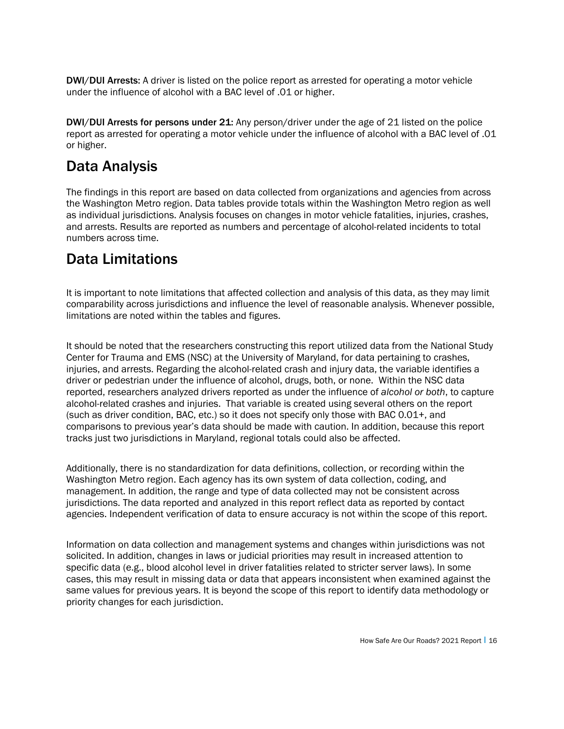DWI/DUI Arrests: A driver is listed on the police report as arrested for operating a motor vehicle under the influence of alcohol with a BAC level of .01 or higher.

DWI/DUI Arrests for persons under 21: Any person/driver under the age of 21 listed on the police report as arrested for operating a motor vehicle under the influence of alcohol with a BAC level of .01 or higher.

### Data Analysis

The findings in this report are based on data collected from organizations and agencies from across the Washington Metro region. Data tables provide totals within the Washington Metro region as well as individual jurisdictions. Analysis focuses on changes in motor vehicle fatalities, injuries, crashes, and arrests. Results are reported as numbers and percentage of alcohol-related incidents to total numbers across time.

#### Data Limitations

It is important to note limitations that affected collection and analysis of this data, as they may limit comparability across jurisdictions and influence the level of reasonable analysis. Whenever possible, limitations are noted within the tables and figures.

It should be noted that the researchers constructing this report utilized data from the National Study Center for Trauma and EMS (NSC) at the University of Maryland, for data pertaining to crashes, injuries, and arrests. Regarding the alcohol-related crash and injury data, the variable identifies a driver or pedestrian under the influence of alcohol, drugs, both, or none. Within the NSC data reported, researchers analyzed drivers reported as under the influence of *alcohol or both*, to capture alcohol-related crashes and injuries. That variable is created using several others on the report (such as driver condition, BAC, etc.) so it does not specify only those with BAC 0.01+, and comparisons to previous year's data should be made with caution. In addition, because this report tracks just two jurisdictions in Maryland, regional totals could also be affected.

Additionally, there is no standardization for data definitions, collection, or recording within the Washington Metro region. Each agency has its own system of data collection, coding, and management. In addition, the range and type of data collected may not be consistent across jurisdictions. The data reported and analyzed in this report reflect data as reported by contact agencies. Independent verification of data to ensure accuracy is not within the scope of this report.

Information on data collection and management systems and changes within jurisdictions was not solicited. In addition, changes in laws or judicial priorities may result in increased attention to specific data (e.g., blood alcohol level in driver fatalities related to stricter server laws). In some cases, this may result in missing data or data that appears inconsistent when examined against the same values for previous years. It is beyond the scope of this report to identify data methodology or priority changes for each jurisdiction.